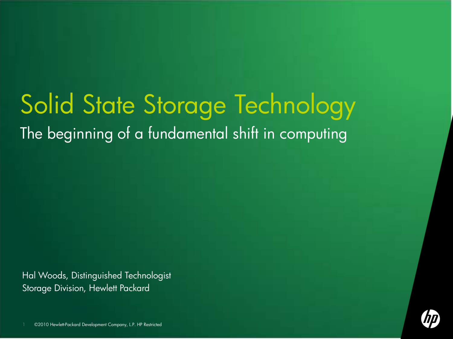## Solid State Storage Technology The beginning of a fundamental shift in computing

Hal Woods, Distinguished Technologist Storage Division, Hewlett Packard



©2010 Hewlett-Packard Development Company, L.P. HP Restricted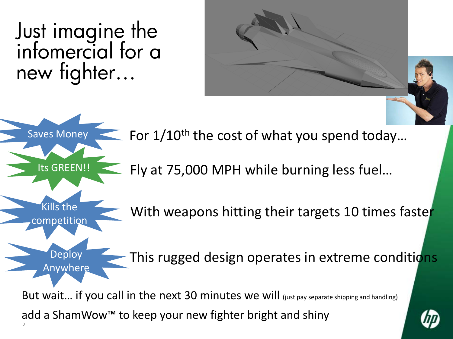Just imagine the infomercial for a new fighter…

Its GREEN!!

Kills the

competition

**Deploy** 

**Anywhere** 



Saves Money  $\leq$  For  $1/10^{\text{th}}$  the cost of what you spend today...

Fly at 75,000 MPH while burning less fuel…

With weapons hitting their targets 10 times faster

This rugged design operates in extreme conditions

 $2<sup>2</sup>$ But wait... if you call in the next 30 minutes we will (just pay separate shipping and handling) add a ShamWow™ to keep your new fighter bright and shiny

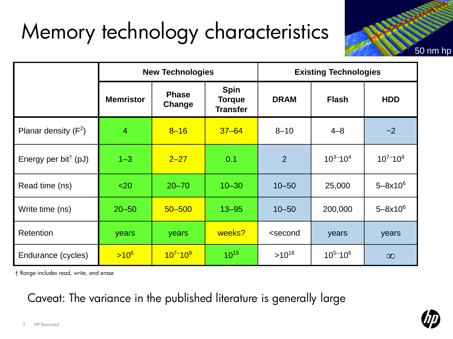## Memory technology characteristics



|                                  | <b>New Technologies</b> |                        |                                                 | <b>Existing Technologies</b>                          |               |                   |
|----------------------------------|-------------------------|------------------------|-------------------------------------------------|-------------------------------------------------------|---------------|-------------------|
|                                  | <b>Memristor</b>        | <b>Phase</b><br>Change | <b>Spin</b><br><b>Torque</b><br><b>Transfer</b> | <b>DRAM</b>                                           | <b>Flash</b>  | <b>HDD</b>        |
| Planar density $(F^2)$           | 4                       | $8 - 16$               | $37 - 64$                                       | $8 - 10$                                              | $4 - 8$       | $-2$              |
| Energy per bit <sup>†</sup> (pJ) | $1 - 3$                 | $2 - 27$               | 0.1                                             | $\overline{2}$                                        | $10^{3-1}0^4$ | $10^{7} - 10^{8}$ |
| Read time (ns)                   | $20$                    | $20 - 70$              | $10 - 30$                                       | $10 - 50$                                             | 25,000        | $5 - 8x10^6$      |
| Write time (ns)                  | $20 - 50$               | $50 - 500$             | $13 - 95$                                       | $10 - 50$                                             | 200,000       | $5 - 8x10^6$      |
| Retention                        | years                   | years                  | weeks?                                          | <second< td=""><td>years</td><td>years</td></second<> | years         | years             |
| Endurance (cycles)               | $>10^6$                 | $10^{7-10^8}$          | $10^{15}$                                       | $>10^{18}$                                            | $10^{5-}10^6$ | $\infty$          |

† Range includes read, write, and erase

Caveat: The variance in the published literature is generally large